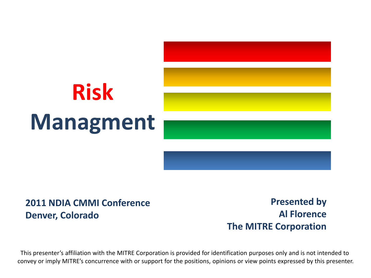# **Risk Managment**

#### **2011 NDIA CMMI Conference Denver, Colorado**

**Presented by Al Florence The MITRE Corporation**

This presenter's affiliation with the MITRE Corporation is provided for identification purposes only and is not intended to convey or imply MITRE's concurrence with or support for the positions, opinions or view points expressed by this presenter.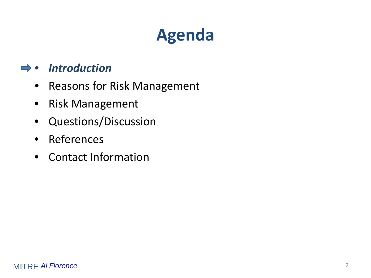### **Agenda**

### • *Introduction*

- Reasons for Risk Management
- Risk Management
- Questions/Discussion
- References
- Contact Information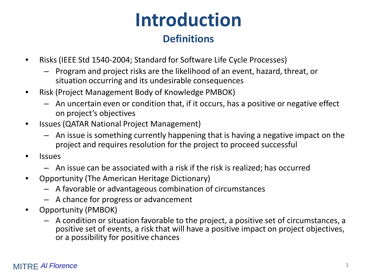# **Introduction**

### **Definitions**

- Risks (IEEE Std 1540-2004; Standard for Software Life Cycle Processes)
	- Program and project risks are the likelihood of an event, hazard, threat, or situation occurring and its undesirable consequences
- Risk (Project Management Body of Knowledge PMBOK)
	- An uncertain even or condition that, if it occurs, has a positive or negative effect on project's objectives
- Issues (QATAR National Project Management)
	- An issue is something currently happening that is having a negative impact on the project and requires resolution for the project to proceed successful
- Issues
	- An issue can be associated with a risk if the risk is realized; has occurred
- Opportunity (The American Heritage Dictionary)
	- A favorable or advantageous combination of circumstances
	- A chance for progress or advancement
- Opportunity (PMBOK)
	- A condition or situation favorable to the project, a positive set of circumstances, a positive set of events, a risk that will have a positive impact on project objectives, or a possibility for positive chances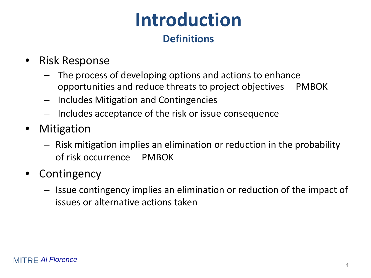### **Introduction Definitions**

- Risk Response
	- The process of developing options and actions to enhance opportunities and reduce threats to project objectives PMBOK
	- Includes Mitigation and Contingencies
	- Includes acceptance of the risk or issue consequence
- Mitigation
	- Risk mitigation implies an elimination or reduction in the probability of risk occurrence PMBOK
- Contingency
	- Issue contingency implies an elimination or reduction of the impact of issues or alternative actions taken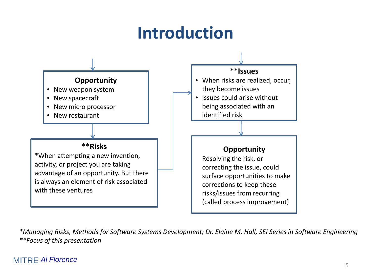### **Introduction**



*\*Managing Risks, Methods for Software Systems Development; Dr. Elaine M. Hall, SEI Series in Software Engineering \*\*Focus of this presentation* 

#### MITRE *Al Florence*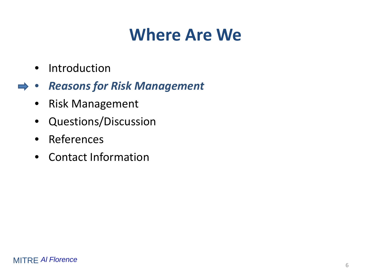### **Where Are We**

• Introduction

### • *Reasons for Risk Management*

- Risk Management
- Questions/Discussion
- References
- Contact Information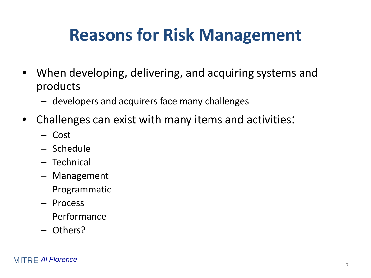### **Reasons for Risk Management**

- When developing, delivering, and acquiring systems and products
	- developers and acquirers face many challenges
- Challenges can exist with many items and activities:
	- Cost
	- Schedule
	- Technical
	- Management
	- Programmatic
	- Process
	- Performance
	- Others?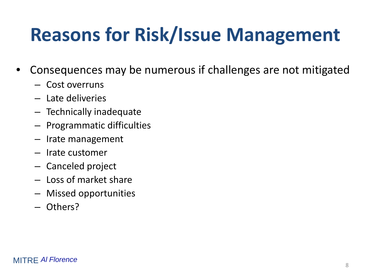## **Reasons for Risk/Issue Management**

- Consequences may be numerous if challenges are not mitigated
	- Cost overruns
	- Late deliveries
	- Technically inadequate
	- Programmatic difficulties
	- Irate management
	- Irate customer
	- Canceled project
	- Loss of market share
	- Missed opportunities
	- Others?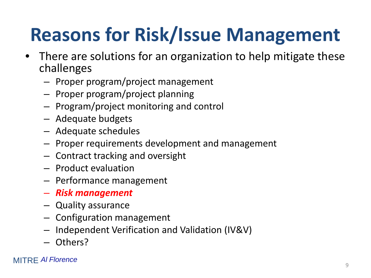# **Reasons for Risk/Issue Management**

- There are solutions for an organization to help mitigate these challenges
	- Proper program/project management
	- Proper program/project planning
	- Program/project monitoring and control
	- Adequate budgets
	- Adequate schedules
	- Proper requirements development and management
	- Contract tracking and oversight
	- Product evaluation
	- Performance management
	- *Risk management*
	- Quality assurance
	- Configuration management
	- Independent Verification and Validation (IV&V)
	- Others?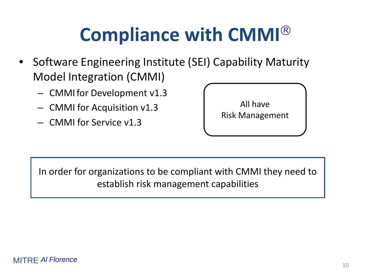## **Compliance with CMMI**

- Software Engineering Institute (SEI) Capability Maturity Model Integration (CMMI)
	- CMMIfor Development v1.3
	- CMMI for Acquisition v1.3
	- CMMI for Service v1.3



In order for organizations to be compliant with CMMI they need to establish risk management capabilities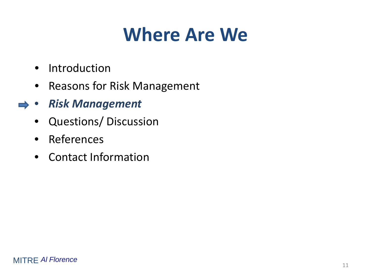### **Where Are We**

- Introduction
- Reasons for Risk Management
- *Risk Management*
	- Questions/ Discussion
	- References
	- Contact Information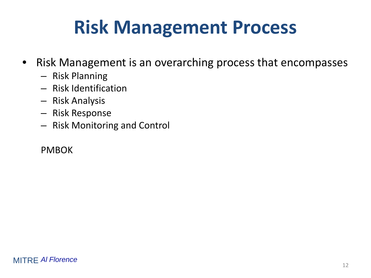### **Risk Management Process**

- Risk Management is an overarching process that encompasses
	- Risk Planning
	- Risk Identification
	- Risk Analysis
	- Risk Response
	- Risk Monitoring and Control
	- PMBOK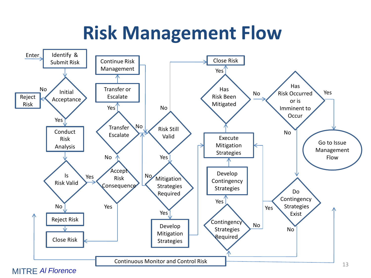### **Risk Management Flow**

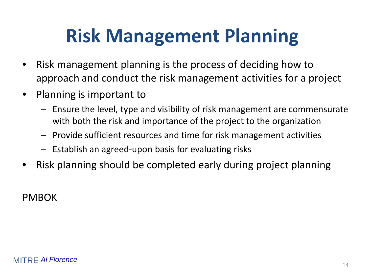# **Risk Management Planning**

- Risk management planning is the process of deciding how to approach and conduct the risk management activities for a project
- Planning is important to
	- Ensure the level, type and visibility of risk management are commensurate with both the risk and importance of the project to the organization
	- Provide sufficient resources and time for risk management activities
	- Establish an agreed-upon basis for evaluating risks
- Risk planning should be completed early during project planning

PMBOK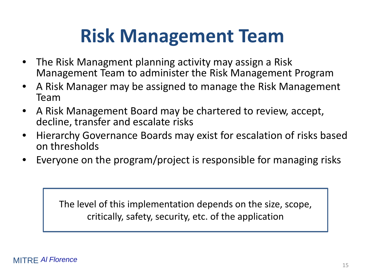## **Risk Management Team**

- The Risk Managment planning activity may assign a Risk Management Team to administer the Risk Management Program
- A Risk Manager may be assigned to manage the Risk Management Team
- A Risk Management Board may be chartered to review, accept, decline, transfer and escalate risks
- Hierarchy Governance Boards may exist for escalation of risks based on thresholds
- Everyone on the program/project is responsible for managing risks

The level of this implementation depends on the size, scope, critically, safety, security, etc. of the application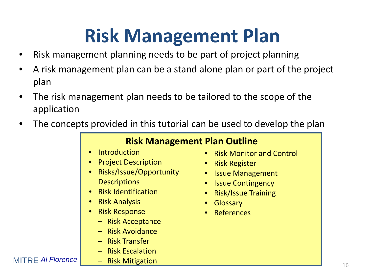# **Risk Management Plan**

- Risk management planning needs to be part of project planning
- A risk management plan can be a stand alone plan or part of the project plan
- The risk management plan needs to be tailored to the scope of the application
- The concepts provided in this tutorial can be used to develop the plan

#### **Risk Management Plan Outline**

- **Introduction**
- Project Description
- Risks/Issue/Opportunity **Descriptions**
- Risk Identification
- Risk Analysis
- Risk Response
	- Risk Acceptance
	- Risk Avoidance
	- Risk Transfer
	- Risk Escalation – Risk Mitigation
- MITRE *Al Florence*
- Risk Monitor and Control
- Risk Register
- Issue Management
- Issue Contingency
- Risk/Issue Training
- Glossary
- References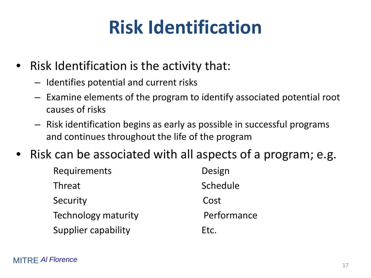# **Risk Identification**

- Risk Identification is the activity that:
	- Identifies potential and current risks
	- Examine elements of the program to identify associated potential root causes of risks
	- Risk identification begins as early as possible in successful programs and continues throughout the life of the program
- Risk can be associated with all aspects of a program; e.g.

| Requirements        | Design      |
|---------------------|-------------|
| Threat              | Schedule    |
| Security            | Cost        |
| Technology maturity | Performance |
| Supplier capability | Etc.        |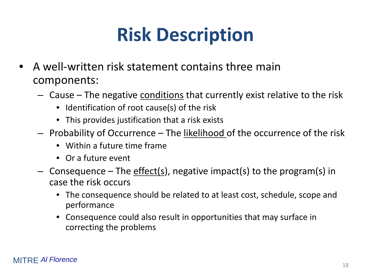## **Risk Description**

- A well-written risk statement contains three main components:
	- Cause The negative conditions that currently exist relative to the risk
		- Identification of root cause(s) of the risk
		- This provides justification that a risk exists
	- Probability of Occurrence The likelihood of the occurrence of the risk
		- Within a future time frame
		- Or a future event
	- Consequence The  $\frac{effect(s)}{s}$ , negative impact(s) to the program(s) in case the risk occurs
		- The consequence should be related to at least cost, schedule, scope and performance
		- Consequence could also result in opportunities that may surface in correcting the problems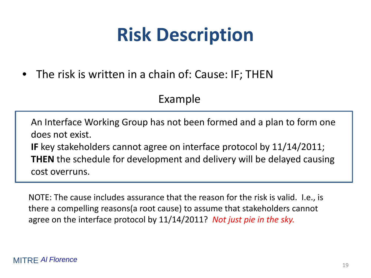### **Risk Description**

• The risk is written in a chain of: Cause: IF; THEN

### Example

An Interface Working Group has not been formed and a plan to form one does not exist.

**IF** key stakeholders cannot agree on interface protocol by 11/14/2011; **THEN** the schedule for development and delivery will be delayed causing cost overruns.

NOTE: The cause includes assurance that the reason for the risk is valid. I.e., is there a compelling reasons(a root cause) to assume that stakeholders cannot agree on the interface protocol by 11/14/2011? *Not just pie in the sky.*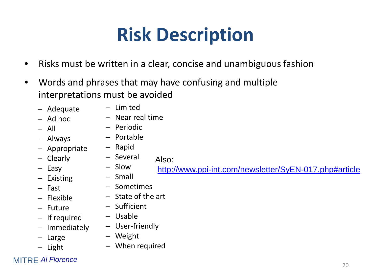## **Risk Description**

- Risks must be written in a clear, concise and unambiguous fashion
- Words and phrases that may have confusing and multiple interpretations must be avoided
	- Adequate
	- Ad hoc – Near real time

– Rapid

– Limited

- Periodic
- Always – Portable
- Appropriate
- Clearly

– Several Also:

– Easy

 $-$  All

- Slow
- Existing
- [http://www.ppi-int.com/newsletter/SyEN-017.php#article](http://www.ppi-int.com/newsletter/SyEN-017.php)
- Small

- Fast
- Flexible
- Future
- If required
- Immediately
- Large
- Light
- Sometimes
- State of the art
- Sufficient
- Usable
- User-friendly
- Weight
- When required

#### MITRE *Al Florence*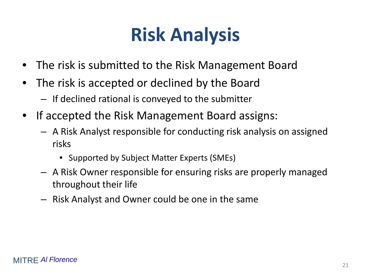## **Risk Analysis**

- The risk is submitted to the Risk Management Board
- The risk is accepted or declined by the Board
	- If declined rational is conveyed to the submitter
- If accepted the Risk Management Board assigns:
	- A Risk Analyst responsible for conducting risk analysis on assigned risks
		- Supported by Subject Matter Experts (SMEs)
	- A Risk Owner responsible for ensuring risks are properly managed throughout their life
	- Risk Analyst and Owner could be one in the same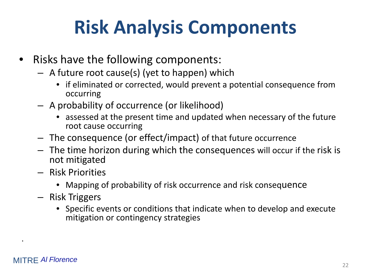# **Risk Analysis Components**

- Risks have the following components:
	- A future root cause(s) (yet to happen) which
		- if eliminated or corrected, would prevent a potential consequence from occurring
	- A probability of occurrence (or likelihood)
		- assessed at the present time and updated when necessary of the future root cause occurring
	- The consequence (or effect/impact) of that future occurrence
	- The time horizon during which the consequences will occur if the risk is not mitigated
	- Risk Priorities
		- Mapping of probability of risk occurrence and risk consequence
	- Risk Triggers
		- Specific events or conditions that indicate when to develop and execute mitigation or contingency strategies

.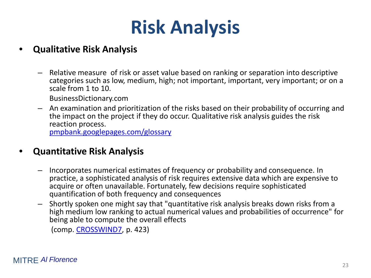# **Risk Analysis**

#### • **Qualitative Risk Analysis**

– Relative measure of risk or asset value based on ranking or separation into descriptive categories such as low, medium, high; not important, important, very important; or on a scale from 1 to 10.

BusinessDictionary.com

– An examination and prioritization of the risks based on their probability of occurring and the impact on the project if they do occur. Qualitative risk analysis guides the risk reaction process.

[pmpbank.googlepages.com/glossary](http://www.google.com/url?q=http://pmpbank.googlepages.com/glossary&sa=X&ei=CaukTKnhBcOblge15fW5DA&ved=0CAYQpAMoAg&usg=AFQjCNGXKUJ8RGyHA8a9zlMwfyzKBawHiA)

#### • **Quantitative Risk Analysis**

- Incorporates numerical estimates of frequency or probability and consequence. In practice, a sophisticated analysis of risk requires extensive data which are expensive to acquire or often unavailable. Fortunately, few decisions require sophisticated quantification of both frequency and consequences
- Shortly spoken one might say that "quantitative risk analysis breaks down risks from a high medium low ranking to actual numerical values and probabilities of occurrence" for being able to compute the overall effects

(comp. [CROSSWIND7,](http://www.mypmps.net/en/mypmps/mypmpsmeta/literature.html) p. 423)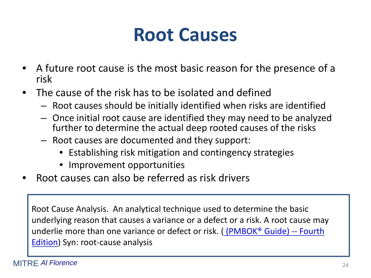### **Root Causes**

- A future root cause is the most basic reason for the presence of a risk
- The cause of the risk has to be isolated and defined
	- Root causes should be initially identified when risks are identified
	- Once initial root cause are identified they may need to be analyzed further to determine the actual deep rooted causes of the risks
	- Root causes are documented and they support:
		- Establishing risk mitigation and contingency strategies
		- Improvement opportunities
- Root causes can also be referred as risk drivers

Root Cause Analysis. An analytical technique used to determine the basic underlying reason that causes a variance or a defect or a risk. A root cause may underlie more than one variance or defect or risk. [\(](http://www.pmibookstore.org/PMIBookStore/index.aspx) [\(PMBOK® Guide\) --](http://www.pmibookstore.org/PMIBookStore/index.aspx) [Fourth](http://www.pmibookstore.org/PMIBookStore/index.aspx)  [Edition](http://www.pmibookstore.org/PMIBookStore/index.aspx)) Syn: root-cause analysis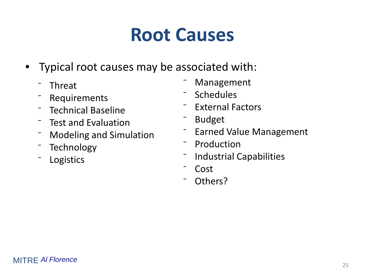### **Root Causes**

- Typical root causes may be associated with:
	- **Threat**
	- **Requirements**
	- ⁻ Technical Baseline
	- ⁻ Test and Evaluation
	- ⁻ Modeling and Simulation
	- **Technology**
	- **Logistics**
- **Management**
- **Schedules**
- ⁻ External Factors
- Budget
- ⁻ Earned Value Management
- Production
- ⁻ Industrial Capabilities
- **Cost**
- Others?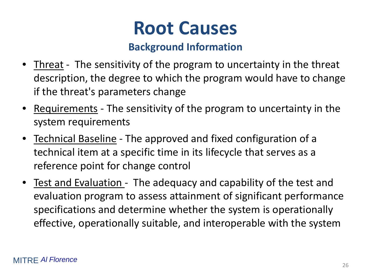

- Threat The sensitivity of the program to uncertainty in the threat description, the degree to which the program would have to change if the threat's parameters change
- Requirements The sensitivity of the program to uncertainty in the system requirements
- Technical Baseline The approved and fixed configuration of a technical item at a specific time in its lifecycle that serves as a reference point for change control
- Test and Evaluation The adequacy and capability of the test and evaluation program to assess attainment of significant performance specifications and determine whether the system is operationally effective, operationally suitable, and interoperable with the system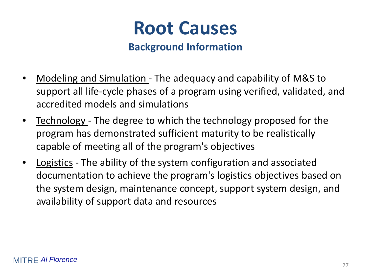

- Modeling and Simulation The adequacy and capability of M&S to support all life-cycle phases of a program using verified, validated, and accredited models and simulations
- Technology The degree to which the technology proposed for the program has demonstrated sufficient maturity to be realistically capable of meeting all of the program's objectives
- Logistics The ability of the system configuration and associated documentation to achieve the program's logistics objectives based on the system design, maintenance concept, support system design, and availability of support data and resources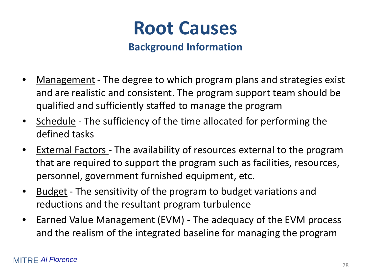

- Management The degree to which program plans and strategies exist and are realistic and consistent. The program support team should be qualified and sufficiently staffed to manage the program
- Schedule The sufficiency of the time allocated for performing the defined tasks
- External Factors The availability of resources external to the program that are required to support the program such as facilities, resources, personnel, government furnished equipment, etc.
- Budget The sensitivity of the program to budget variations and reductions and the resultant program turbulence
- Earned Value Management (EVM) The adequacy of the EVM process and the realism of the integrated baseline for managing the program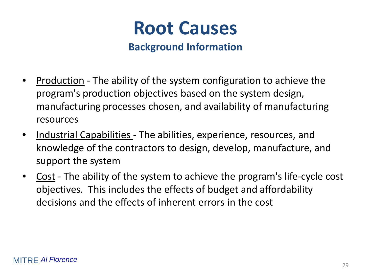

- Production The ability of the system configuration to achieve the program's production objectives based on the system design, manufacturing processes chosen, and availability of manufacturing resources
- Industrial Capabilities The abilities, experience, resources, and knowledge of the contractors to design, develop, manufacture, and support the system
- Cost The ability of the system to achieve the program's life-cycle cost objectives. This includes the effects of budget and affordability decisions and the effects of inherent errors in the cost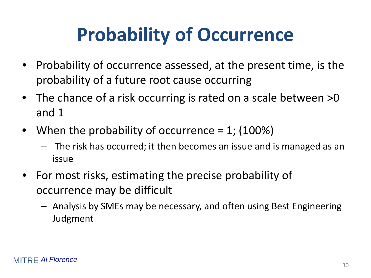# **Probability of Occurrence**

- Probability of occurrence assessed, at the present time, is the probability of a future root cause occurring
- The chance of a risk occurring is rated on a scale between >0 and 1
- When the probability of occurrence  $= 1$ ; (100%)
	- The risk has occurred; it then becomes an issue and is managed as an issue
- For most risks, estimating the precise probability of occurrence may be difficult
	- Analysis by SMEs may be necessary, and often using Best Engineering Judgment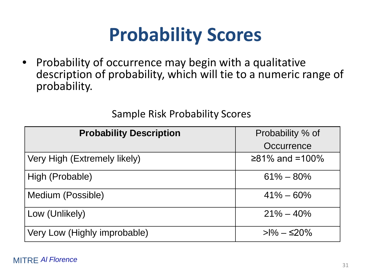## **Probability Scores**

• Probability of occurrence may begin with a qualitative description of probability, which will tie to a numeric range of probability.

| <b>Probability Description</b> | Probability % of  |  |
|--------------------------------|-------------------|--|
|                                | Occurrence        |  |
| Very High (Extremely likely)   | $≥81\%$ and =100% |  |
| High (Probable)                | $61\% - 80\%$     |  |
| Medium (Possible)              | $41\% - 60\%$     |  |
| Low (Unlikely)                 | $21\% - 40\%$     |  |
| Very Low (Highly improbable)   | $>1\% - 20\%$     |  |

#### Sample Risk Probability Scores

#### MITRE *Al Florence*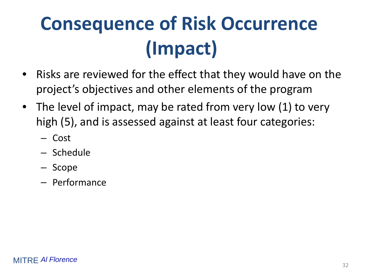# **Consequence of Risk Occurrence (Impact)**

- Risks are reviewed for the effect that they would have on the project's objectives and other elements of the program
- The level of impact, may be rated from very low (1) to very high (5), and is assessed against at least four categories:
	- Cost
	- Schedule
	- Scope
	- Performance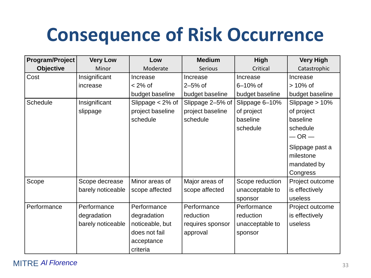### **Consequence of Risk Occurrence**

| Program/Project  | <b>Very Low</b>   | Low                | <b>Medium</b>    | <b>High</b>     | <b>Very High</b>  |
|------------------|-------------------|--------------------|------------------|-----------------|-------------------|
| <b>Objective</b> | Minor             | Moderate           | <b>Serious</b>   | Critical        | Catastrophic      |
| Cost             | Insignificant     | Increase           | Increase         | Increase        | Increase          |
|                  | increase          | $< 2\%$ of         | $2-5%$ of        | $6 - 10\%$ of   | > 10% of          |
|                  |                   | budget baseline    | budget baseline  | budget baseline | budget baseline   |
| <b>Schedule</b>  | Insignificant     | Slippage $<$ 2% of | Slippage 2-5% of | Slippage 6-10%  | Slippage $> 10\%$ |
|                  | slippage          | project baseline   | project baseline | of project      | of project        |
|                  |                   | schedule           | schedule         | baseline        | baseline          |
|                  |                   |                    |                  | schedule        | schedule          |
|                  |                   |                    |                  |                 | $-$ OR $-$        |
|                  |                   |                    |                  |                 | Slippage past a   |
|                  |                   |                    |                  |                 | milestone         |
|                  |                   |                    |                  |                 | mandated by       |
|                  |                   |                    |                  |                 | Congress          |
| Scope            | Scope decrease    | Minor areas of     | Major areas of   | Scope reduction | Project outcome   |
|                  | barely noticeable | scope affected     | scope affected   | unacceptable to | is effectively    |
|                  |                   |                    |                  | sponsor         | useless           |
| Performance      | Performance       | Performance        | Performance      | Performance     | Project outcome   |
|                  | degradation       | degradation        | reduction        | reduction       | is effectively    |
|                  | barely noticeable | noticeable, but    | requires sponsor | unacceptable to | useless           |
|                  |                   | does not fail      | approval         | sponsor         |                   |
|                  |                   | acceptance         |                  |                 |                   |
|                  |                   | criteria           |                  |                 |                   |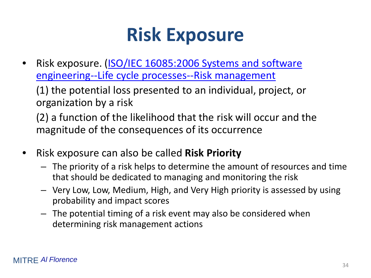

Risk exposure. (ISO/IEC 16085:2006 Systems and software [engineering--Life cycle processes--Risk management](http://www.iso.org/iso/en/CatalogueListPage.CatalogueList)

(1) the potential loss presented to an individual, project, or organization by a risk

(2) a function of the likelihood that the risk will occur and the magnitude of the consequences of its occurrence

- Risk exposure can also be called **Risk Priority**
	- The priority of a risk helps to determine the amount of resources and time that should be dedicated to managing and monitoring the risk
	- Very Low, Low, Medium, High, and Very High priority is assessed by using probability and impact scores
	- The potential timing of a risk event may also be considered when determining risk management actions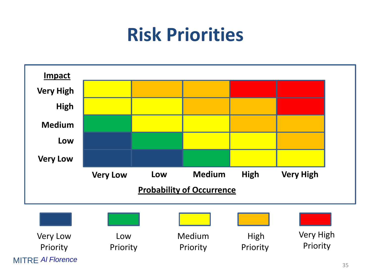### **Risk Priorities**

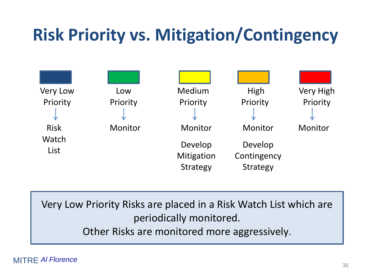### **Risk Priority vs. Mitigation/Contingency**



Very Low Priority Risks are placed in a Risk Watch List which are periodically monitored. Other Risks are monitored more aggressively.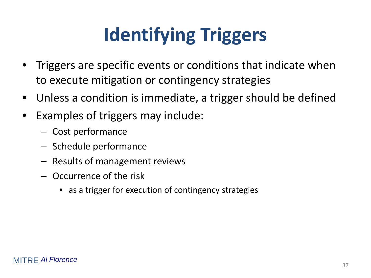# **Identifying Triggers**

- Triggers are specific events or conditions that indicate when to execute mitigation or contingency strategies
- Unless a condition is immediate, a trigger should be defined
- Examples of triggers may include:
	- Cost performance
	- Schedule performance
	- Results of management reviews
	- Occurrence of the risk
		- as a trigger for execution of contingency strategies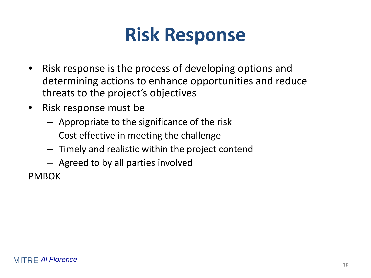### **Risk Response**

- Risk response is the process of developing options and determining actions to enhance opportunities and reduce threats to the project's objectives
- Risk response must be
	- Appropriate to the significance of the risk
	- Cost effective in meeting the challenge
	- Timely and realistic within the project contend
	- Agreed to by all parties involved

PMBOK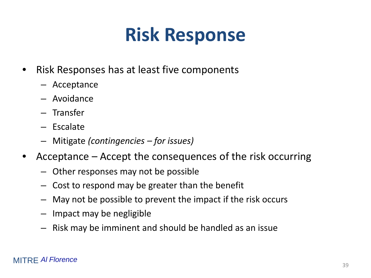### **Risk Response**

- Risk Responses has at least five components
	- Acceptance
	- Avoidance
	- Transfer
	- Escalate
	- Mitigate *(contingencies – for issues)*
- Acceptance Accept the consequences of the risk occurring
	- Other responses may not be possible
	- Cost to respond may be greater than the benefit
	- May not be possible to prevent the impact if the risk occurs
	- Impact may be negligible
	- Risk may be imminent and should be handled as an issue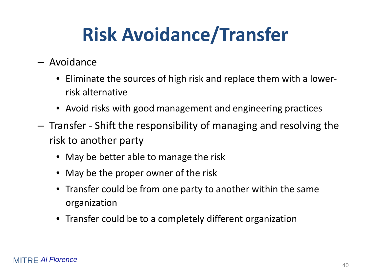# **Risk Avoidance/Transfer**

- Avoidance
	- Eliminate the sources of high risk and replace them with a lowerrisk alternative
	- Avoid risks with good management and engineering practices
- Transfer Shift the responsibility of managing and resolving the risk to another party
	- May be better able to manage the risk
	- May be the proper owner of the risk
	- Transfer could be from one party to another within the same organization
	- Transfer could be to a completely different organization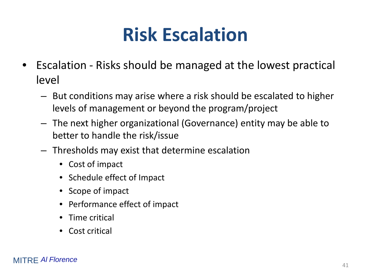### **Risk Escalation**

- Escalation Risks should be managed at the lowest practical level
	- But conditions may arise where a risk should be escalated to higher levels of management or beyond the program/project
	- The next higher organizational (Governance) entity may be able to better to handle the risk/issue
	- Thresholds may exist that determine escalation
		- Cost of impact
		- Schedule effect of Impact
		- Scope of impact
		- Performance effect of impact
		- Time critical
		- Cost critical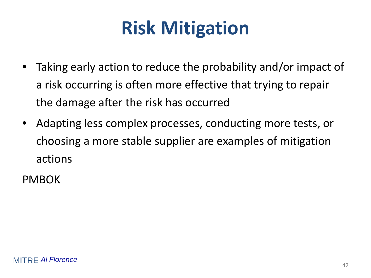- Taking early action to reduce the probability and/or impact of a risk occurring is often more effective that trying to repair the damage after the risk has occurred
- Adapting less complex processes, conducting more tests, or choosing a more stable supplier are examples of mitigation actions

PMBOK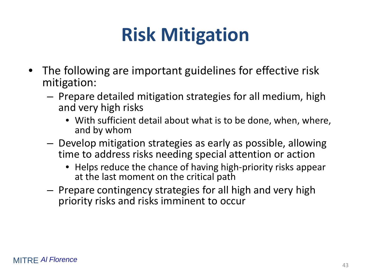- The following are important guidelines for effective risk mitigation:
	- Prepare detailed mitigation strategies for all medium, high and very high risks
		- With sufficient detail about what is to be done, when, where, and by whom
	- Develop mitigation strategies as early as possible, allowing time to address risks needing special attention or action
		- Helps reduce the chance of having high-priority risks appear at the last moment on the critical path
	- Prepare contingency strategies for all high and very high priority risks and risks imminent to occur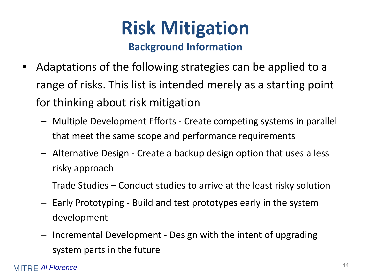### **Background Information**

- Adaptations of the following strategies can be applied to a range of risks. This list is intended merely as a starting point for thinking about risk mitigation
	- Multiple Development Efforts Create competing systems in parallel that meet the same scope and performance requirements
	- Alternative Design Create a backup design option that uses a less risky approach
	- Trade Studies Conduct studies to arrive at the least risky solution
	- Early Prototyping Build and test prototypes early in the system development
	- Incremental Development Design with the intent of upgrading system parts in the future

#### MITRE AI Florence **44**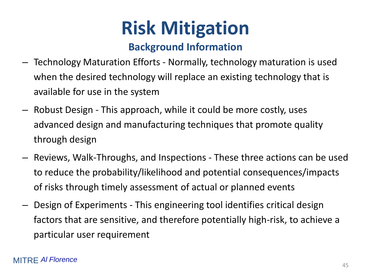- Technology Maturation Efforts Normally, technology maturation is used when the desired technology will replace an existing technology that is available for use in the system
- Robust Design This approach, while it could be more costly, uses advanced design and manufacturing techniques that promote quality through design
- Reviews, Walk-Throughs, and Inspections These three actions can be used to reduce the probability/likelihood and potential consequences/impacts of risks through timely assessment of actual or planned events
- Design of Experiments This engineering tool identifies critical design factors that are sensitive, and therefore potentially high-risk, to achieve a particular user requirement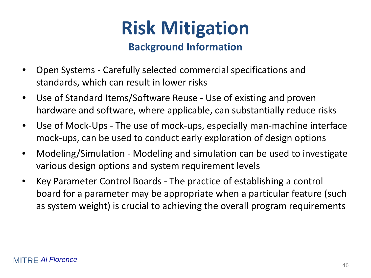- Open Systems Carefully selected commercial specifications and standards, which can result in lower risks
- Use of Standard Items/Software Reuse Use of existing and proven hardware and software, where applicable, can substantially reduce risks
- Use of Mock-Ups The use of mock-ups, especially man-machine interface mock-ups, can be used to conduct early exploration of design options
- Modeling/Simulation Modeling and simulation can be used to investigate various design options and system requirement levels
- Key Parameter Control Boards The practice of establishing a control board for a parameter may be appropriate when a particular feature (such as system weight) is crucial to achieving the overall program requirements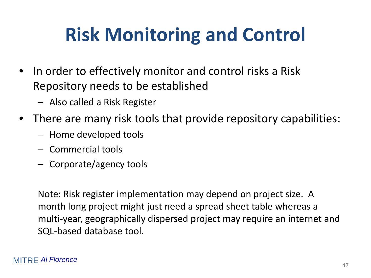# **Risk Monitoring and Control**

- In order to effectively monitor and control risks a Risk Repository needs to be established
	- Also called a Risk Register
- There are many risk tools that provide repository capabilities:
	- Home developed tools
	- Commercial tools
	- Corporate/agency tools

Note: Risk register implementation may depend on project size. A month long project might just need a spread sheet table whereas a multi-year, geographically dispersed project may require an internet and SQL-based database tool.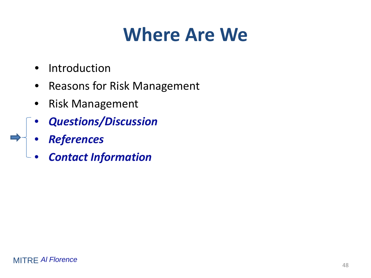### **Where Are We**

- Introduction
- Reasons for Risk Management
- Risk Management
- *Questions/Discussion*
- *References*
- *Contact Information*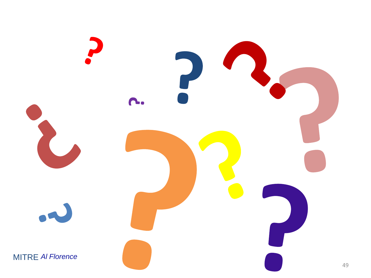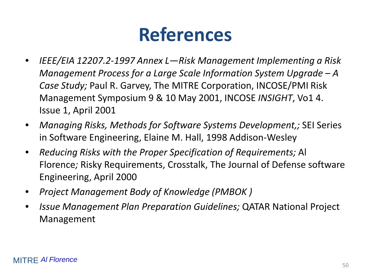### **References**

- *IEEE/EIA 12207.2-1997 Annex L—Risk Management Implementing a Risk Management Process for a Large Scale Information System Upgrade – A Case Study;* Paul R. Garvey, The MITRE Corporation, INCOSE/PMI Risk Management Symposium 9 & 10 May 2001, INCOSE *INSIGHT*, Vo1 4. Issue 1, April 2001
- *Managing Risks, Methods for Software Systems Development,;* SEI Series in Software Engineering, Elaine M. Hall, 1998 Addison-Wesley
- *Reducing Risks with the Proper Specification of Requirements;* Al Florence*;* Risky Requirements, Crosstalk, The Journal of Defense software Engineering, April 2000
- *Project Management Body of Knowledge (PMBOK )*
- *Issue Management Plan Preparation Guidelines;* QATAR National Project Management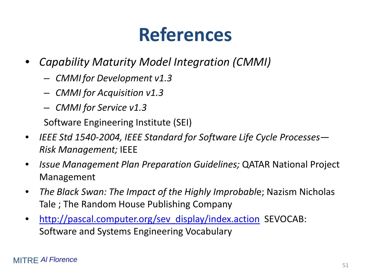### **References**

- *Capability Maturity Model Integration (CMMI)*
	- *CMMIfor Development v1.3*
	- *CMMI for Acquisition v1.3*
	- *CMMI for Service v1.3*

Software Engineering Institute (SEI)

- *IEEE Std 1540-2004, IEEE Standard for Software Life Cycle Processes— Risk Management;* IEEE
- *Issue Management Plan Preparation Guidelines;* QATAR National Project Management
- *The Black Swan: The Impact of the Highly Improbabl*e; Nazism Nicholas Tale ; The Random House Publishing Company
- [http://pascal.computer.org/sev\\_display/index.action](http://pascal.computer.org/sev_display/index.action) SEVOCAB: Software and Systems Engineering Vocabulary